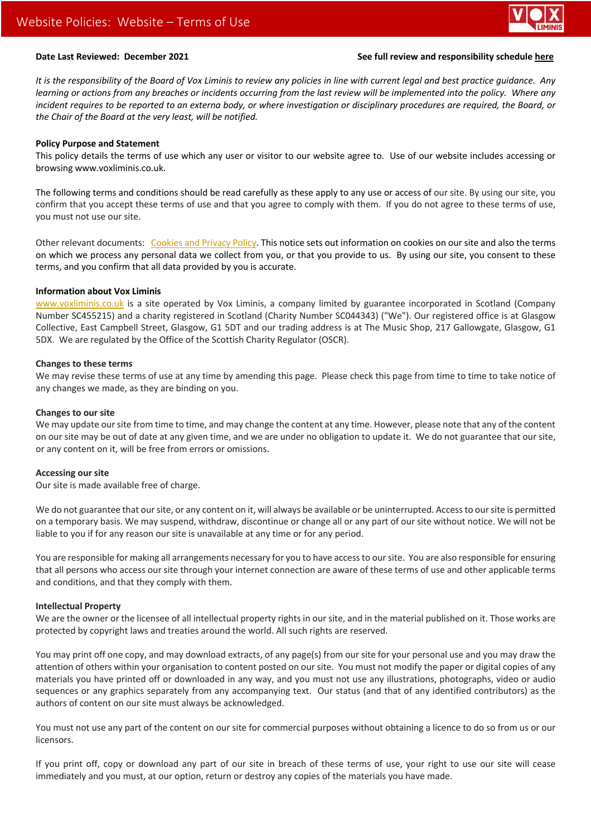

## **Date Last Reviewed: December 2021 See full review and responsibility schedule here**

*It is the responsibility of the Board of Vox Liminis to review any policies in line with current legal and best practice guidance. Any learning or actions from any breaches or incidents occurring from the last review will be implemented into the policy. Where any incident requires to be reported to an externa body, or where investigation or disciplinary procedures are required, the Board, or the Chair of the Board at the very least, will be notified.*

# **Policy Purpose and Statement**

This policy details the terms of use which any user or visitor to our website agree to. Use of our website includes accessing or browsing www.voxliminis.co.uk.

The following terms and conditions should be read carefully as these apply to any use or access of our site. By using our site, you confirm that you accept these terms of use and that you agree to comply with them. If you do not agree to these terms of use, you must not use our site.

Other relevant documents: Cookies and Privacy Policy. This notice sets out information on cookies on our site and also the terms on which we process any personal data we collect from you, or that you provide to us. By using our site, you consent to these terms, and you confirm that all data provided by you is accurate.

## **Information about Vox Liminis**

www.voxliminis.co.uk is a site operated by Vox Liminis, a company limited by guarantee incorporated in Scotland (Company Number SC455215) and a charity registered in Scotland (Charity Number SC044343) ("We"). Our registered office is at Glasgow Collective, East Campbell Street, Glasgow, G1 5DT and our trading address is at The Music Shop, 217 Gallowgate, Glasgow, G1 5DX. We are regulated by the Office of the Scottish Charity Regulator (OSCR).

## **Changes to these terms**

We may revise these terms of use at any time by amending this page. Please check this page from time to time to take notice of any changes we made, as they are binding on you.

## **Changes to our site**

We may update our site from time to time, and may change the content at any time. However, please note that any of the content on our site may be out of date at any given time, and we are under no obligation to update it. We do not guarantee that our site, or any content on it, will be free from errors or omissions.

## **Accessing our site**

Our site is made available free of charge.

We do not guarantee that our site, or any content on it, will always be available or be uninterrupted. Access to our site is permitted on a temporary basis. We may suspend, withdraw, discontinue or change all or any part of our site without notice. We will not be liable to you if for any reason our site is unavailable at any time or for any period.

You are responsible for making all arrangements necessary for you to have access to our site. You are also responsible for ensuring that all persons who access our site through your internet connection are aware of these terms of use and other applicable terms and conditions, and that they comply with them.

## **Intellectual Property**

We are the owner or the licensee of all intellectual property rights in our site, and in the material published on it. Those works are protected by copyright laws and treaties around the world. All such rights are reserved.

You may print off one copy, and may download extracts, of any page(s) from our site for your personal use and you may draw the attention of others within your organisation to content posted on our site. You must not modify the paper or digital copies of any materials you have printed off or downloaded in any way, and you must not use any illustrations, photographs, video or audio sequences or any graphics separately from any accompanying text. Our status (and that of any identified contributors) as the authors of content on our site must always be acknowledged.

You must not use any part of the content on our site for commercial purposes without obtaining a licence to do so from us or our licensors.

If you print off, copy or download any part of our site in breach of these terms of use, your right to use our site will cease immediately and you must, at our option, return or destroy any copies of the materials you have made.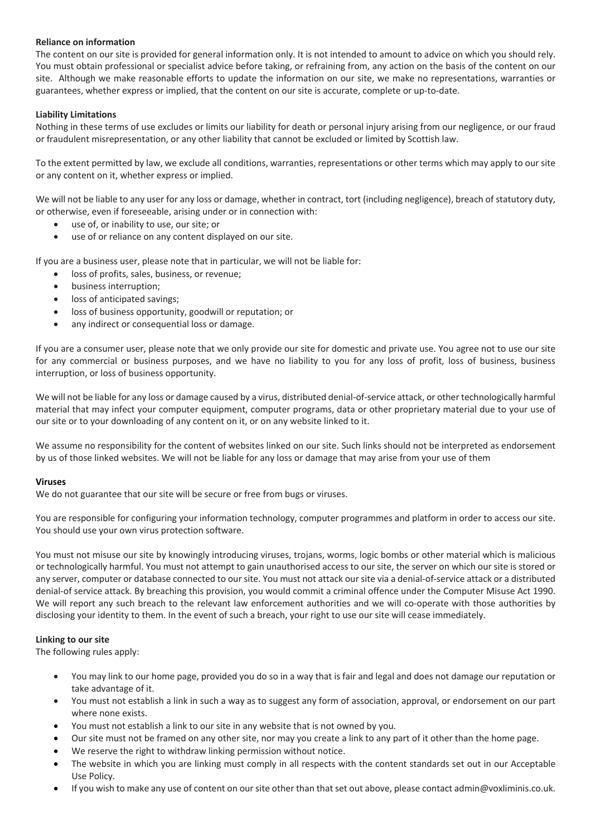# **Reliance on information**

The content on our site is provided for general information only. It is not intended to amount to advice on which you should rely. You must obtain professional or specialist advice before taking, or refraining from, any action on the basis of the content on our site. Although we make reasonable efforts to update the information on our site, we make no representations, warranties or guarantees, whether express or implied, that the content on our site is accurate, complete or up-to-date.

# **Liability Limitations**

Nothing in these terms of use excludes or limits our liability for death or personal injury arising from our negligence, or our fraud or fraudulent misrepresentation, or any other liability that cannot be excluded or limited by Scottish law.

To the extent permitted by law, we exclude all conditions, warranties, representations or other terms which may apply to our site or any content on it, whether express or implied.

We will not be liable to any user for any loss or damage, whether in contract, tort (including negligence), breach of statutory duty, or otherwise, even if foreseeable, arising under or in connection with:

- use of, or inability to use, our site; or
- use of or reliance on any content displayed on our site.

If you are a business user, please note that in particular, we will not be liable for:

- loss of profits, sales, business, or revenue;
- business interruption;
- loss of anticipated savings;
- loss of business opportunity, goodwill or reputation; or
- any indirect or consequential loss or damage.

If you are a consumer user, please note that we only provide our site for domestic and private use. You agree not to use our site for any commercial or business purposes, and we have no liability to you for any loss of profit, loss of business, business interruption, or loss of business opportunity.

We will not be liable for any loss or damage caused by a virus, distributed denial-of-service attack, or other technologically harmful material that may infect your computer equipment, computer programs, data or other proprietary material due to your use of our site or to your downloading of any content on it, or on any website linked to it.

We assume no responsibility for the content of websites linked on our site. Such links should not be interpreted as endorsement by us of those linked websites. We will not be liable for any loss or damage that may arise from your use of them

# **Viruses**

We do not guarantee that our site will be secure or free from bugs or viruses.

You are responsible for configuring your information technology, computer programmes and platform in order to access our site. You should use your own virus protection software.

You must not misuse our site by knowingly introducing viruses, trojans, worms, logic bombs or other material which is malicious or technologically harmful. You must not attempt to gain unauthorised access to our site, the server on which our site is stored or any server, computer or database connected to our site. You must not attack our site via a denial-of-service attack or a distributed denial-of service attack. By breaching this provision, you would commit a criminal offence under the Computer Misuse Act 1990. We will report any such breach to the relevant law enforcement authorities and we will co-operate with those authorities by disclosing your identity to them. In the event of such a breach, your right to use our site will cease immediately.

# **Linking to our site**

The following rules apply:

- You may link to our home page, provided you do so in a way that is fair and legal and does not damage our reputation or take advantage of it.
- You must not establish a link in such a way as to suggest any form of association, approval, or endorsement on our part where none exists.
- You must not establish a link to our site in any website that is not owned by you.
- Our site must not be framed on any other site, nor may you create a link to any part of it other than the home page.
- We reserve the right to withdraw linking permission without notice.
- The website in which you are linking must comply in all respects with the content standards set out in our Acceptable Use Policy.
- If you wish to make any use of content on our site other than that set out above, please contact admin@voxliminis.co.uk.